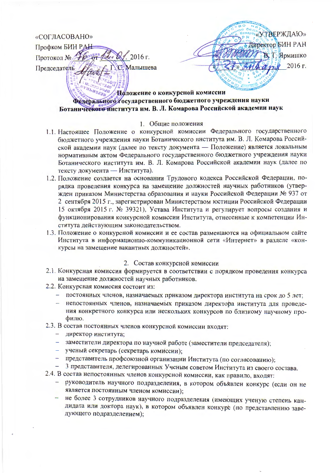## «СОГЛАСОВАНО»

Профком БИН РАЕ  $2016$  г. Протокол № Малышева Председатель

«УТВЕРЖДАЮ» Директор БИН РАН Т. Ярмишко 2016 г.

# Положение о конкурсной комиссии Федерального тосударственного бюджетного учреждения науки Ботанического института им. В. Л. Комарова Российской академии наук

### 1. Общие положения

- 1.1. Настоящее Положение о конкурсной комиссии Федерального государственного бюджетного учреждения науки Ботанического института им. В. Л. Комарова Российской академии наук (далее по тексту документа - Положение) является локальным нормативным актом Федерального государственного бюджетного учреждения науки Ботанического института им. В. Л. Комарова Российской академии наук (далее по тексту документа - Института).
- 1.2. Положение создается на основании Трудового кодекса Российской Федерации, порядка проведения конкурса на замещение должностей научных работников (утвержден приказом Министерства образования и науки Российской Федерации № 937 от 2 сентября 2015 г., зарегистрирован Министерством юстиции Российской Федерации 15 октября 2015 г. № 39321), Устава Института и регулирует вопросы создания и функционирования конкурсной комиссии Института, отнесенные к компетенции Института действующим законодательством.
- 1.3. Положение о конкурсной комиссии и ее состав размещаются на официальном сайте Института в информационно-коммуникационной сети «Интернет» в разделе «конкурсы на замещение вакантных должностей».

### 2. Состав конкурсной комиссии

- 2.1. Конкурсная комиссия формируется в соответствии с порядком проведения конкурса на замещение должностей научных работников.
- 2.2. Конкурсная комиссия состоит из:
	- постоянных членов, назначаемых приказом директора института на срок до 5 лет;
	- непостоянных членов, назначаемых приказом директора института для проведения конкретного конкурса или нескольких конкурсов по близкому научному профилю.
- 2.3. В состав постоянных членов конкурсной комиссии входят:
	- директор института;
	- заместители директора по научной работе (заместители председателя);
	- ученый секретарь (секретарь комиссии);
	- представитель профсоюзной организации Института (по согласованию);
	- 3 представителя, делегированных Ученым советом Института из своего состава.
- 2.4. В состав непостоянных членов конкурсной комиссии, как правило, входят:
	- руководитель научного подразделения, в котором объявлен конкурс (если он не является постоянным членом комиссии);
	- не более 3 сотрудников научного подразделения (имеющих ученую степень кандидата или доктора наук), в котором объявлен конкурс (по представлению заведующего подразделением);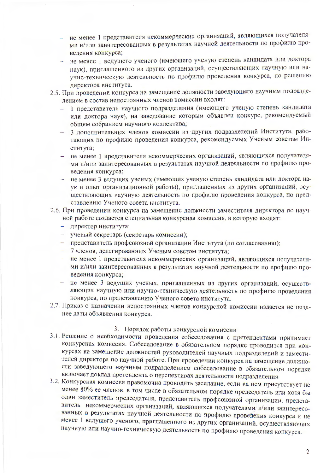- не менее 1 представителя некоммерческих организаций, являющихся получателями и/или заинтересованных в результатах научной деятельности по профилю проведения конкурса;
- не менее 1 ведущего ученого (имеющего ученую степень кандидата или доктора наук), приглашенного из других организаций, осуществляющих научную или научно-техническую деятельность по профилю проведения конкурса, по решению директора института.
- 2.5. При проведении конкурса на замещение должности заведующего научным подразделением в состав непостоянных членов комиссии входят:
	- 1 представитель научного подразделения (имеющего ученую степень кандидата или доктора наук), на заведование которым объявлен конкурс, рекомендуемый общим собранием научного коллектива;
	- 3 дополнительных членов комиссии из других подразделений Института, работающих по профилю проведения конкурса, рекомендуемых Ученым советом Института;
	- не менее 1 представителя некоммерческих организаций, являющихся получателя- $\pm$ ми и/или заинтересованных в результатах научной деятельности по профилю проведения конкурса;
	- не менее 3 ведущих ученых (имеющих ученую степень кандидата или доктора на- $\overline{\phantom{a}}$ ук и опыт организационной работы), приглашенных из других организаций, осуществляющих научную деятельность по профилю проведения конкурса, по представлению Ученого совета института.
- 2.6. При проведении конкурса на замещение должности заместителя директора по научной работе создается специальная конкурсная комиссия, в которую входят:
	- директор института;
	- ученый секретарь (секретарь комиссии);
	- представитель профсоюзной организации Института (по согласованию);
	- 7 членов, делегированных Ученым советом института;
	- не менее 1 представителя некоммерческих организаций, являющихся получателями и/или заинтересованных в результатах научной деятельности по профилю проведения конкурса;
	- не менее 3 ведущих ученых, приглашенных из других организаций, осуществляющих научную или научно-техническую деятельность по профилю проведения конкурса, по представлению Ученого совета института.
- 2.7. Приказ о назначении непостоянных членов конкурсной комиссии издается не позднее даты объявления конкурса.

#### 3. Порядок работы конкурсной комиссии

- 3.1. Решение о необходимости проведения собеседования с претендентами принимает конкурсная комиссия. Собеседование в обязательном порядке проводится при конкурсах на замещение должностей руководителей научных подразделений и заместителей директора по научной работе. При проведении конкурса на замещение должности заведующего научным подразделением собеседование в обязательном порядке включает доклад претендента о перспективах деятельности подразделения.
- 3.2. Конкурсная комиссия правомочна проводить заседание, если на нем присутствует не менее 80% ее членов, в том числе в обязательном порядке председатель или хотя бы один заместитель председателя, представитель профсоюзной организации, представитель некоммерческих организаций, являющихся получателями и/или заинтересованных в результатах научной деятельности по профилю проведения конкурса и не менее 1 ведущего ученого, приглашенного из других организаций, осуществляющих научную или научно-техническую деятельность по профилю проведения конкурса.